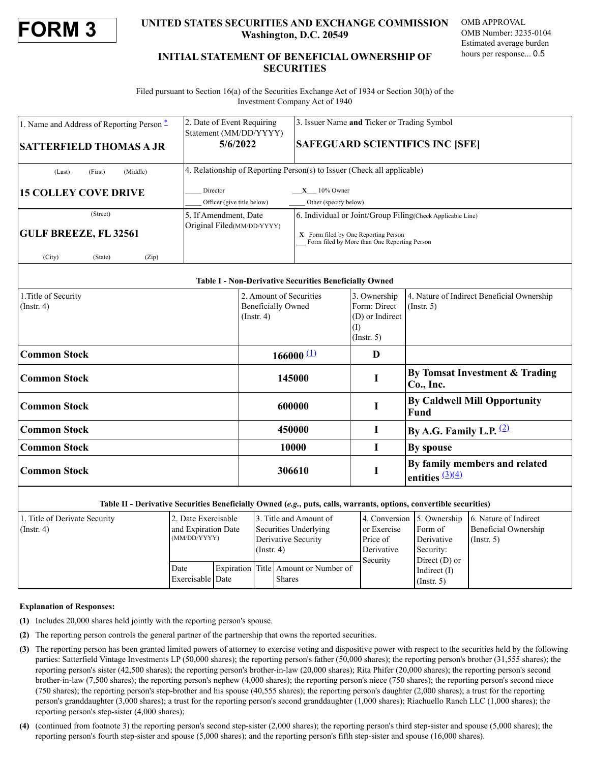

## **FORM 3 UNITED STATES SECURITIES AND EXCHANGE COMMISSION Washington, D.C. 20549**

OMB APPROVAL OMB Number: 3235-0104 Estimated average burden hours per response... 0.5

# **INITIAL STATEMENT OF BENEFICIAL OWNERSHIP OF SECURITIES**

Filed pursuant to Section 16(a) of the Securities Exchange Act of 1934 or Section 30(h) of the Investment Company Act of 1940

| 1. Name and Address of Reporting Person $*$ | 2. Date of Event Requiring<br>Statement (MM/DD/YYYY)<br>5/6/2022 | 3. Issuer Name and Ticker or Trading Symbol<br><b>SAFEGUARD SCIENTIFICS INC [SFE]</b> |  |  |
|---------------------------------------------|------------------------------------------------------------------|---------------------------------------------------------------------------------------|--|--|
| <b>SATTERFIELD THOMAS A JR</b>              |                                                                  |                                                                                       |  |  |
| (First)<br>(Middle)<br>(Last)               |                                                                  | 4. Relationship of Reporting Person(s) to Issuer (Check all applicable)               |  |  |
| <b>15 COLLEY COVE DRIVE</b>                 | Director                                                         | $X = 10\%$ Owner                                                                      |  |  |
|                                             | Officer (give title below)                                       | Other (specify below)                                                                 |  |  |
| (Street)                                    | 5. If Amendment, Date                                            | 6. Individual or Joint/Group Filing (Check Applicable Line)                           |  |  |
| <b>GULF BREEZE, FL 32561</b>                | Original Filed(MM/DD/YYYY)                                       | X Form filed by One Reporting Person<br>Form filed by More than One Reporting Person  |  |  |
| (City)<br>(State)<br>(Zip)                  |                                                                  |                                                                                       |  |  |

### **Table I - Non-Derivative Securities Beneficially Owned**

| 1. Title of Security<br>$\int$ (Instr. 4) | 2. Amount of Securities<br><b>Beneficially Owned</b><br>$($ Instr. 4 $)$ | 3. Ownership<br>Form: Direct<br>(D) or Indirect<br>$\rm (I)$<br>$($ Instr. 5 $)$ | 4. Nature of Indirect Beneficial Ownership<br>$($ Instr. 5 $)$ |
|-------------------------------------------|--------------------------------------------------------------------------|----------------------------------------------------------------------------------|----------------------------------------------------------------|
| <b>Common Stock</b>                       | $166000$ (1)                                                             | D                                                                                |                                                                |
| <b>Common Stock</b>                       | 145000                                                                   |                                                                                  | By Tomsat Investment & Trading<br>Co., Inc.                    |
| <b>Common Stock</b>                       | 600000                                                                   |                                                                                  | <b>By Caldwell Mill Opportunity</b><br><b>Fund</b>             |
| <b>Common Stock</b>                       | 450000                                                                   | I                                                                                | By A.G. Family L.P. $\frac{(2)}{2}$                            |
| <b>Common Stock</b>                       | 10000                                                                    | I                                                                                | By spouse                                                      |
| <b>Common Stock</b>                       | 306610                                                                   |                                                                                  | By family members and related<br>entities $\frac{(3)(4)}{4}$   |

### **Table II - Derivative Securities Beneficially Owned (***e.g.***, puts, calls, warrants, options, convertible securities)**

| 1. Title of Derivate Security | 2. Date Exercisable |  |                       | 3. Title and Amount of               |             | 4. Conversion 5. Ownership | 6. Nature of Indirect |
|-------------------------------|---------------------|--|-----------------------|--------------------------------------|-------------|----------------------------|-----------------------|
| $($ Instr. 4 $)$              | and Expiration Date |  | Securities Underlying |                                      | or Exercise | Form of                    | Beneficial Ownership  |
|                               | (MM/DD/YYYY)        |  | Derivative Security   |                                      | Price of    | Derivative                 | $($ Instr. 5)         |
|                               | $($ Instr. 4 $)$    |  |                       | Derivative                           | Security:   |                            |                       |
|                               |                     |  |                       |                                      | Security    | Direct $(D)$ or            |                       |
|                               | Date                |  |                       | Expiration Title Amount or Number of |             | Indirect $(I)$             |                       |
|                               | Exercisable Date    |  |                       | <b>Shares</b>                        |             | $($ Instr. 5 $)$           |                       |

#### **Explanation of Responses:**

- <span id="page-0-0"></span>**(1)** Includes 20,000 shares held jointly with the reporting person's spouse.
- <span id="page-0-1"></span>**(2)** The reporting person controls the general partner of the partnership that owns the reported securities.
- <span id="page-0-2"></span>**(3)** The reporting person has been granted limited powers of attorney to exercise voting and dispositive power with respect to the securities held by the following parties: Satterfield Vintage Investments LP (50,000 shares); the reporting person's father (50,000 shares); the reporting person's brother (31,555 shares); the reporting person's sister (42,500 shares); the reporting person's brother-in-law (20,000 shares); Rita Phifer (20,000 shares); the reporting person's second brother-in-law (7,500 shares); the reporting person's nephew (4,000 shares); the reporting person's niece (750 shares); the reporting person's second niece (750 shares); the reporting person's step-brother and his spouse (40,555 shares); the reporting person's daughter (2,000 shares); a trust for the reporting person's granddaughter (3,000 shares); a trust for the reporting person's second granddaughter (1,000 shares); Riachuello Ranch LLC (1,000 shares); the reporting person's step-sister (4,000 shares);
- <span id="page-0-3"></span>**(4)** (continued from footnote 3) the reporting person's second step-sister (2,000 shares); the reporting person's third step-sister and spouse (5,000 shares); the reporting person's fourth step-sister and spouse (5,000 shares); and the reporting person's fifth step-sister and spouse (16,000 shares).